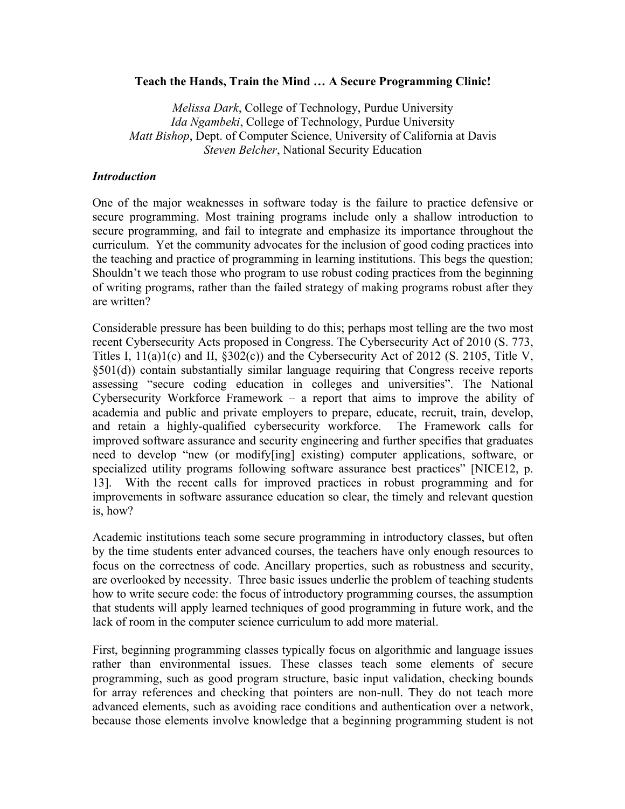#### **Teach the Hands, Train the Mind … A Secure Programming Clinic!**

*Melissa Dark*, College of Technology, Purdue University *Ida Ngambeki*, College of Technology, Purdue University *Matt Bishop*, Dept. of Computer Science, University of California at Davis *Steven Belcher*, National Security Education

#### *Introduction*

One of the major weaknesses in software today is the failure to practice defensive or secure programming. Most training programs include only a shallow introduction to secure programming, and fail to integrate and emphasize its importance throughout the curriculum. Yet the community advocates for the inclusion of good coding practices into the teaching and practice of programming in learning institutions. This begs the question; Shouldn't we teach those who program to use robust coding practices from the beginning of writing programs, rather than the failed strategy of making programs robust after they are written?

Considerable pressure has been building to do this; perhaps most telling are the two most recent Cybersecurity Acts proposed in Congress. The Cybersecurity Act of 2010 (S. 773, Titles I, 11(a)1(c) and II, §302(c)) and the Cybersecurity Act of 2012 (S. 2105, Title V, §501(d)) contain substantially similar language requiring that Congress receive reports assessing "secure coding education in colleges and universities". The National Cybersecurity Workforce Framework – a report that aims to improve the ability of academia and public and private employers to prepare, educate, recruit, train, develop, and retain a highly-qualified cybersecurity workforce. The Framework calls for improved software assurance and security engineering and further specifies that graduates need to develop "new (or modify[ing] existing) computer applications, software, or specialized utility programs following software assurance best practices" [NICE12, p. 13]. With the recent calls for improved practices in robust programming and for improvements in software assurance education so clear, the timely and relevant question is, how?

Academic institutions teach some secure programming in introductory classes, but often by the time students enter advanced courses, the teachers have only enough resources to focus on the correctness of code. Ancillary properties, such as robustness and security, are overlooked by necessity. Three basic issues underlie the problem of teaching students how to write secure code: the focus of introductory programming courses, the assumption that students will apply learned techniques of good programming in future work, and the lack of room in the computer science curriculum to add more material.

First, beginning programming classes typically focus on algorithmic and language issues rather than environmental issues. These classes teach some elements of secure programming, such as good program structure, basic input validation, checking bounds for array references and checking that pointers are non-null. They do not teach more advanced elements, such as avoiding race conditions and authentication over a network, because those elements involve knowledge that a beginning programming student is not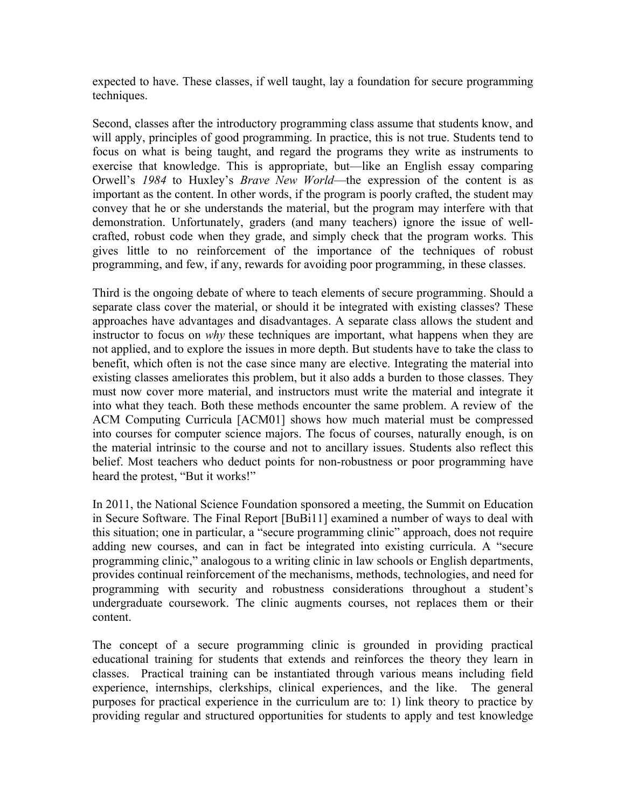expected to have. These classes, if well taught, lay a foundation for secure programming techniques.

Second, classes after the introductory programming class assume that students know, and will apply, principles of good programming. In practice, this is not true. Students tend to focus on what is being taught, and regard the programs they write as instruments to exercise that knowledge. This is appropriate, but—like an English essay comparing Orwell's *1984* to Huxley's *Brave New World*—the expression of the content is as important as the content. In other words, if the program is poorly crafted, the student may convey that he or she understands the material, but the program may interfere with that demonstration. Unfortunately, graders (and many teachers) ignore the issue of wellcrafted, robust code when they grade, and simply check that the program works. This gives little to no reinforcement of the importance of the techniques of robust programming, and few, if any, rewards for avoiding poor programming, in these classes.

Third is the ongoing debate of where to teach elements of secure programming. Should a separate class cover the material, or should it be integrated with existing classes? These approaches have advantages and disadvantages. A separate class allows the student and instructor to focus on *why* these techniques are important, what happens when they are not applied, and to explore the issues in more depth. But students have to take the class to benefit, which often is not the case since many are elective. Integrating the material into existing classes ameliorates this problem, but it also adds a burden to those classes. They must now cover more material, and instructors must write the material and integrate it into what they teach. Both these methods encounter the same problem. A review of the ACM Computing Curricula [ACM01] shows how much material must be compressed into courses for computer science majors. The focus of courses, naturally enough, is on the material intrinsic to the course and not to ancillary issues. Students also reflect this belief. Most teachers who deduct points for non-robustness or poor programming have heard the protest, "But it works!"

In 2011, the National Science Foundation sponsored a meeting, the Summit on Education in Secure Software. The Final Report [BuBi11] examined a number of ways to deal with this situation; one in particular, a "secure programming clinic" approach, does not require adding new courses, and can in fact be integrated into existing curricula. A "secure programming clinic," analogous to a writing clinic in law schools or English departments, provides continual reinforcement of the mechanisms, methods, technologies, and need for programming with security and robustness considerations throughout a student's undergraduate coursework. The clinic augments courses, not replaces them or their content.

The concept of a secure programming clinic is grounded in providing practical educational training for students that extends and reinforces the theory they learn in classes. Practical training can be instantiated through various means including field experience, internships, clerkships, clinical experiences, and the like. The general purposes for practical experience in the curriculum are to: 1) link theory to practice by providing regular and structured opportunities for students to apply and test knowledge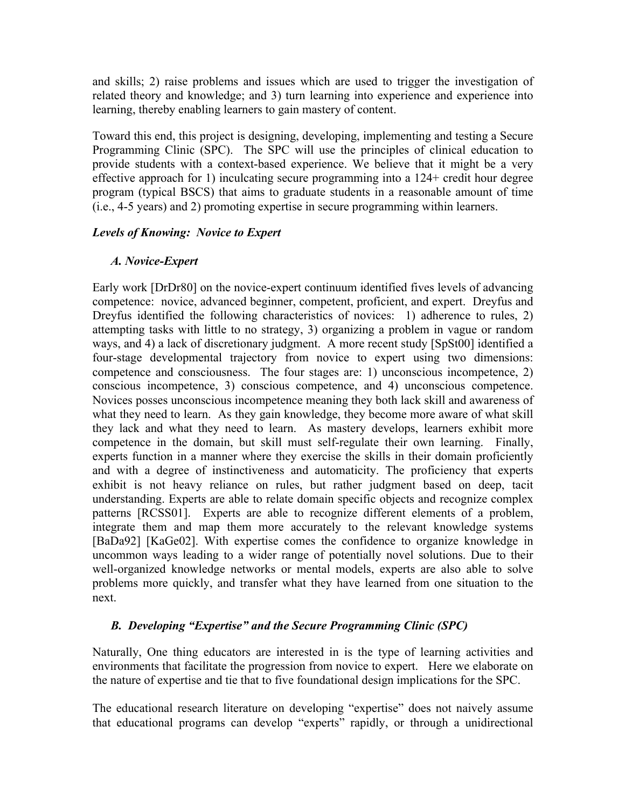and skills; 2) raise problems and issues which are used to trigger the investigation of related theory and knowledge; and 3) turn learning into experience and experience into learning, thereby enabling learners to gain mastery of content.

Toward this end, this project is designing, developing, implementing and testing a Secure Programming Clinic (SPC). The SPC will use the principles of clinical education to provide students with a context-based experience. We believe that it might be a very effective approach for 1) inculcating secure programming into a 124+ credit hour degree program (typical BSCS) that aims to graduate students in a reasonable amount of time (i.e., 4-5 years) and 2) promoting expertise in secure programming within learners.

### *Levels of Knowing: Novice to Expert*

## *A. Novice-Expert*

Early work [DrDr80] on the novice-expert continuum identified fives levels of advancing competence: novice, advanced beginner, competent, proficient, and expert. Dreyfus and Dreyfus identified the following characteristics of novices: 1) adherence to rules, 2) attempting tasks with little to no strategy, 3) organizing a problem in vague or random ways, and 4) a lack of discretionary judgment. A more recent study [SpSt00] identified a four-stage developmental trajectory from novice to expert using two dimensions: competence and consciousness. The four stages are: 1) unconscious incompetence, 2) conscious incompetence, 3) conscious competence, and 4) unconscious competence. Novices posses unconscious incompetence meaning they both lack skill and awareness of what they need to learn. As they gain knowledge, they become more aware of what skill they lack and what they need to learn. As mastery develops, learners exhibit more competence in the domain, but skill must self-regulate their own learning. Finally, experts function in a manner where they exercise the skills in their domain proficiently and with a degree of instinctiveness and automaticity. The proficiency that experts exhibit is not heavy reliance on rules, but rather judgment based on deep, tacit understanding. Experts are able to relate domain specific objects and recognize complex patterns [RCSS01]. Experts are able to recognize different elements of a problem, integrate them and map them more accurately to the relevant knowledge systems [BaDa92] [KaGe02]. With expertise comes the confidence to organize knowledge in uncommon ways leading to a wider range of potentially novel solutions. Due to their well-organized knowledge networks or mental models, experts are also able to solve problems more quickly, and transfer what they have learned from one situation to the next.

# *B. Developing "Expertise" and the Secure Programming Clinic (SPC)*

Naturally, One thing educators are interested in is the type of learning activities and environments that facilitate the progression from novice to expert. Here we elaborate on the nature of expertise and tie that to five foundational design implications for the SPC.

The educational research literature on developing "expertise" does not naively assume that educational programs can develop "experts" rapidly, or through a unidirectional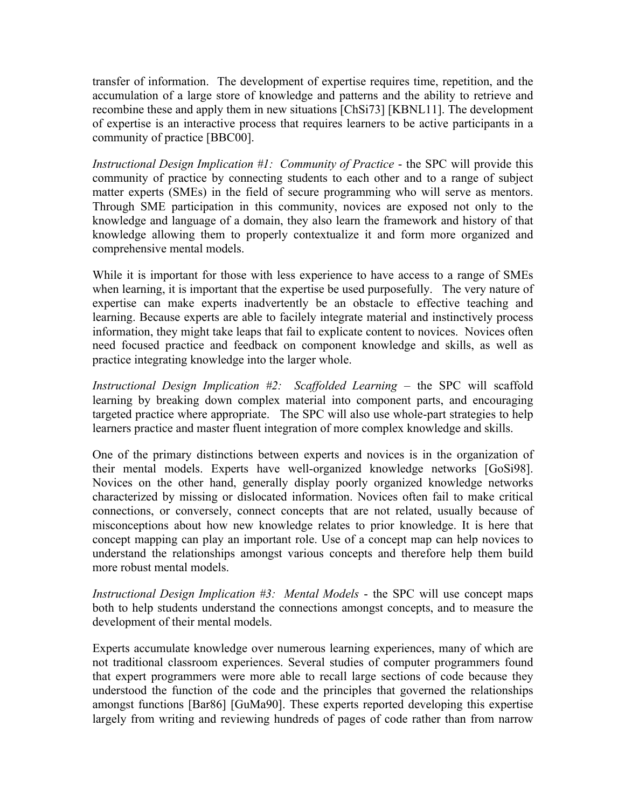transfer of information. The development of expertise requires time, repetition, and the accumulation of a large store of knowledge and patterns and the ability to retrieve and recombine these and apply them in new situations [ChSi73] [KBNL11]. The development of expertise is an interactive process that requires learners to be active participants in a community of practice [BBC00].

*Instructional Design Implication #1: Community of Practice* - the SPC will provide this community of practice by connecting students to each other and to a range of subject matter experts (SMEs) in the field of secure programming who will serve as mentors. Through SME participation in this community, novices are exposed not only to the knowledge and language of a domain, they also learn the framework and history of that knowledge allowing them to properly contextualize it and form more organized and comprehensive mental models.

While it is important for those with less experience to have access to a range of SMEs when learning, it is important that the expertise be used purposefully. The very nature of expertise can make experts inadvertently be an obstacle to effective teaching and learning. Because experts are able to facilely integrate material and instinctively process information, they might take leaps that fail to explicate content to novices. Novices often need focused practice and feedback on component knowledge and skills, as well as practice integrating knowledge into the larger whole.

*Instructional Design Implication #2: Scaffolded Learning* – the SPC will scaffold learning by breaking down complex material into component parts, and encouraging targeted practice where appropriate. The SPC will also use whole-part strategies to help learners practice and master fluent integration of more complex knowledge and skills.

One of the primary distinctions between experts and novices is in the organization of their mental models. Experts have well-organized knowledge networks [GoSi98]. Novices on the other hand, generally display poorly organized knowledge networks characterized by missing or dislocated information. Novices often fail to make critical connections, or conversely, connect concepts that are not related, usually because of misconceptions about how new knowledge relates to prior knowledge. It is here that concept mapping can play an important role. Use of a concept map can help novices to understand the relationships amongst various concepts and therefore help them build more robust mental models.

*Instructional Design Implication #3: Mental Models* - the SPC will use concept maps both to help students understand the connections amongst concepts, and to measure the development of their mental models.

Experts accumulate knowledge over numerous learning experiences, many of which are not traditional classroom experiences. Several studies of computer programmers found that expert programmers were more able to recall large sections of code because they understood the function of the code and the principles that governed the relationships amongst functions [Bar86] [GuMa90]. These experts reported developing this expertise largely from writing and reviewing hundreds of pages of code rather than from narrow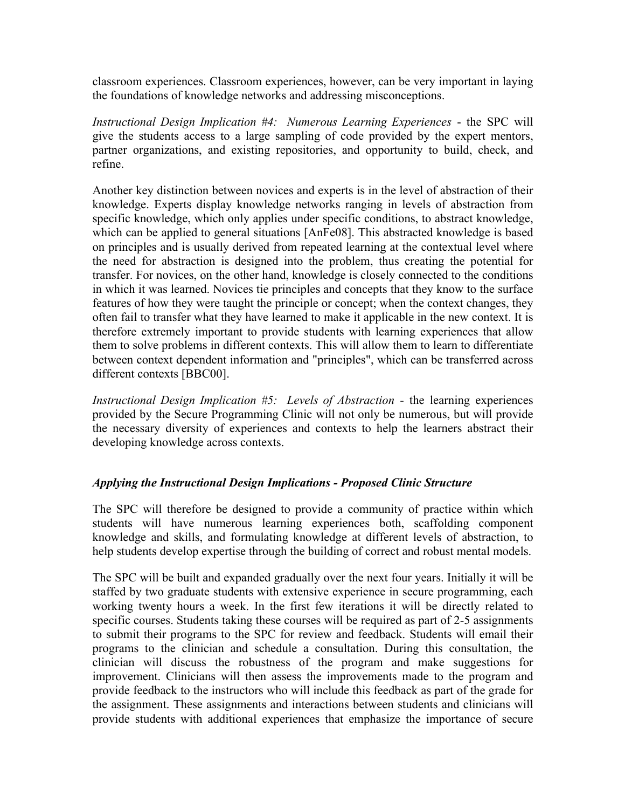classroom experiences. Classroom experiences, however, can be very important in laying the foundations of knowledge networks and addressing misconceptions.

*Instructional Design Implication #4: Numerous Learning Experiences* - the SPC will give the students access to a large sampling of code provided by the expert mentors, partner organizations, and existing repositories, and opportunity to build, check, and refine.

Another key distinction between novices and experts is in the level of abstraction of their knowledge. Experts display knowledge networks ranging in levels of abstraction from specific knowledge, which only applies under specific conditions, to abstract knowledge, which can be applied to general situations [AnFe08]. This abstracted knowledge is based on principles and is usually derived from repeated learning at the contextual level where the need for abstraction is designed into the problem, thus creating the potential for transfer. For novices, on the other hand, knowledge is closely connected to the conditions in which it was learned. Novices tie principles and concepts that they know to the surface features of how they were taught the principle or concept; when the context changes, they often fail to transfer what they have learned to make it applicable in the new context. It is therefore extremely important to provide students with learning experiences that allow them to solve problems in different contexts. This will allow them to learn to differentiate between context dependent information and "principles", which can be transferred across different contexts [BBC00].

*Instructional Design Implication #5: Levels of Abstraction* - the learning experiences provided by the Secure Programming Clinic will not only be numerous, but will provide the necessary diversity of experiences and contexts to help the learners abstract their developing knowledge across contexts.

### *Applying the Instructional Design Implications - Proposed Clinic Structure*

The SPC will therefore be designed to provide a community of practice within which students will have numerous learning experiences both, scaffolding component knowledge and skills, and formulating knowledge at different levels of abstraction, to help students develop expertise through the building of correct and robust mental models.

The SPC will be built and expanded gradually over the next four years. Initially it will be staffed by two graduate students with extensive experience in secure programming, each working twenty hours a week. In the first few iterations it will be directly related to specific courses. Students taking these courses will be required as part of 2-5 assignments to submit their programs to the SPC for review and feedback. Students will email their programs to the clinician and schedule a consultation. During this consultation, the clinician will discuss the robustness of the program and make suggestions for improvement. Clinicians will then assess the improvements made to the program and provide feedback to the instructors who will include this feedback as part of the grade for the assignment. These assignments and interactions between students and clinicians will provide students with additional experiences that emphasize the importance of secure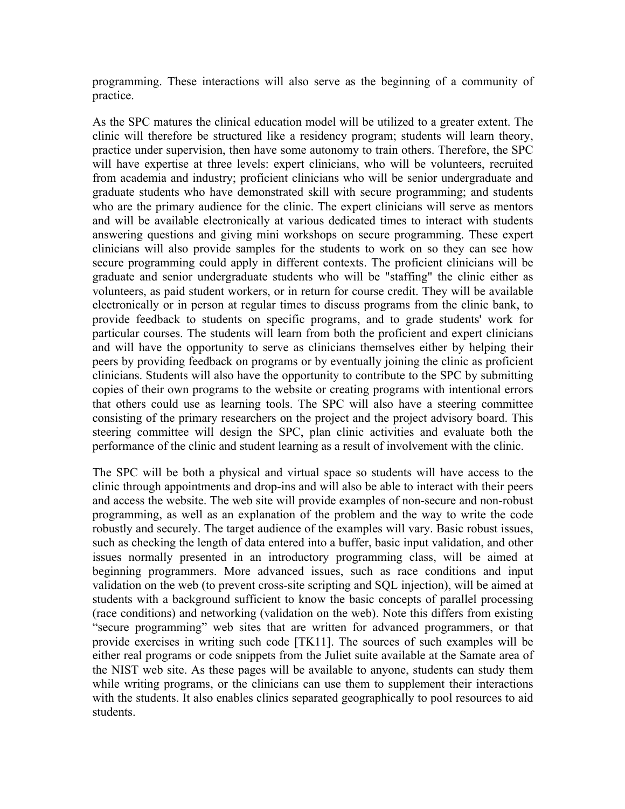programming. These interactions will also serve as the beginning of a community of practice.

As the SPC matures the clinical education model will be utilized to a greater extent. The clinic will therefore be structured like a residency program; students will learn theory, practice under supervision, then have some autonomy to train others. Therefore, the SPC will have expertise at three levels: expert clinicians, who will be volunteers, recruited from academia and industry; proficient clinicians who will be senior undergraduate and graduate students who have demonstrated skill with secure programming; and students who are the primary audience for the clinic. The expert clinicians will serve as mentors and will be available electronically at various dedicated times to interact with students answering questions and giving mini workshops on secure programming. These expert clinicians will also provide samples for the students to work on so they can see how secure programming could apply in different contexts. The proficient clinicians will be graduate and senior undergraduate students who will be "staffing" the clinic either as volunteers, as paid student workers, or in return for course credit. They will be available electronically or in person at regular times to discuss programs from the clinic bank, to provide feedback to students on specific programs, and to grade students' work for particular courses. The students will learn from both the proficient and expert clinicians and will have the opportunity to serve as clinicians themselves either by helping their peers by providing feedback on programs or by eventually joining the clinic as proficient clinicians. Students will also have the opportunity to contribute to the SPC by submitting copies of their own programs to the website or creating programs with intentional errors that others could use as learning tools. The SPC will also have a steering committee consisting of the primary researchers on the project and the project advisory board. This steering committee will design the SPC, plan clinic activities and evaluate both the performance of the clinic and student learning as a result of involvement with the clinic.

The SPC will be both a physical and virtual space so students will have access to the clinic through appointments and drop-ins and will also be able to interact with their peers and access the website. The web site will provide examples of non-secure and non-robust programming, as well as an explanation of the problem and the way to write the code robustly and securely. The target audience of the examples will vary. Basic robust issues, such as checking the length of data entered into a buffer, basic input validation, and other issues normally presented in an introductory programming class, will be aimed at beginning programmers. More advanced issues, such as race conditions and input validation on the web (to prevent cross-site scripting and SQL injection), will be aimed at students with a background sufficient to know the basic concepts of parallel processing (race conditions) and networking (validation on the web). Note this differs from existing "secure programming" web sites that are written for advanced programmers, or that provide exercises in writing such code [TK11]. The sources of such examples will be either real programs or code snippets from the Juliet suite available at the Samate area of the NIST web site. As these pages will be available to anyone, students can study them while writing programs, or the clinicians can use them to supplement their interactions with the students. It also enables clinics separated geographically to pool resources to aid students.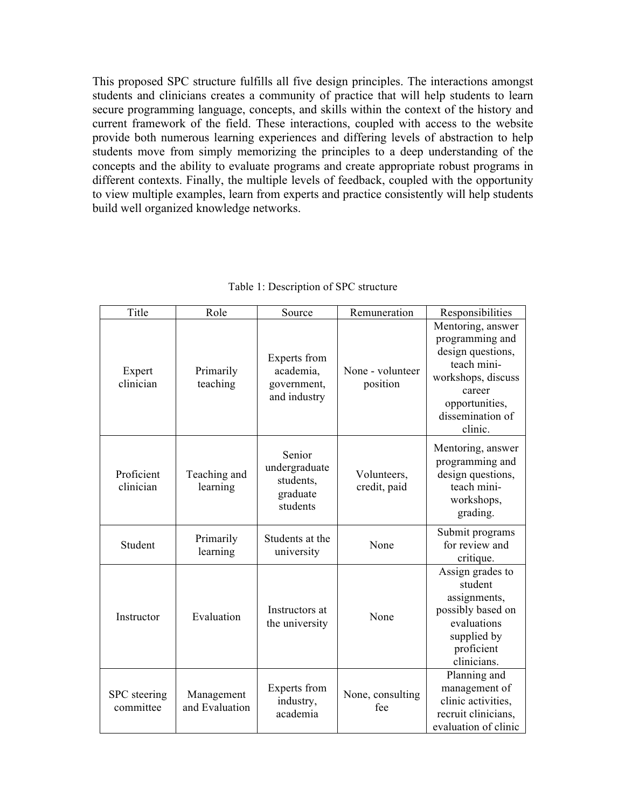This proposed SPC structure fulfills all five design principles. The interactions amongst students and clinicians creates a community of practice that will help students to learn secure programming language, concepts, and skills within the context of the history and current framework of the field. These interactions, coupled with access to the website provide both numerous learning experiences and differing levels of abstraction to help students move from simply memorizing the principles to a deep understanding of the concepts and the ability to evaluate programs and create appropriate robust programs in different contexts. Finally, the multiple levels of feedback, coupled with the opportunity to view multiple examples, learn from experts and practice consistently will help students build well organized knowledge networks.

| Title                     | Role                         | Source                                                       | Remuneration                 | Responsibilities                                                                                                                                          |
|---------------------------|------------------------------|--------------------------------------------------------------|------------------------------|-----------------------------------------------------------------------------------------------------------------------------------------------------------|
| Expert<br>clinician       | Primarily<br>teaching        | Experts from<br>academia,<br>government,<br>and industry     | None - volunteer<br>position | Mentoring, answer<br>programming and<br>design questions,<br>teach mini-<br>workshops, discuss<br>career<br>opportunities,<br>dissemination of<br>clinic. |
| Proficient<br>clinician   | Teaching and<br>learning     | Senior<br>undergraduate<br>students,<br>graduate<br>students | Volunteers,<br>credit, paid  | Mentoring, answer<br>programming and<br>design questions,<br>teach mini-<br>workshops,<br>grading.                                                        |
| Student                   | Primarily<br>learning        | Students at the<br>university                                | None                         | Submit programs<br>for review and<br>critique.                                                                                                            |
| Instructor                | Evaluation                   | Instructors at<br>the university                             | None                         | Assign grades to<br>student<br>assignments,<br>possibly based on<br>evaluations<br>supplied by<br>proficient<br>clinicians.                               |
| SPC steering<br>committee | Management<br>and Evaluation | Experts from<br>industry,<br>academia                        | None, consulting<br>fee      | Planning and<br>management of<br>clinic activities,<br>recruit clinicians,<br>evaluation of clinic                                                        |

Table 1: Description of SPC structure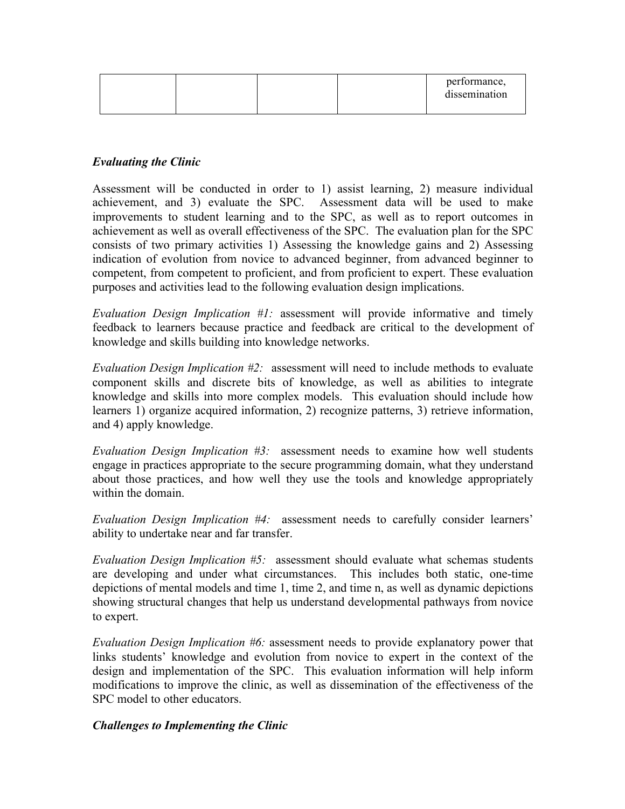|  |  | performance,<br>dissemination |
|--|--|-------------------------------|
|  |  |                               |

### *Evaluating the Clinic*

Assessment will be conducted in order to 1) assist learning, 2) measure individual achievement, and 3) evaluate the SPC. Assessment data will be used to make improvements to student learning and to the SPC, as well as to report outcomes in achievement as well as overall effectiveness of the SPC. The evaluation plan for the SPC consists of two primary activities 1) Assessing the knowledge gains and 2) Assessing indication of evolution from novice to advanced beginner, from advanced beginner to competent, from competent to proficient, and from proficient to expert. These evaluation purposes and activities lead to the following evaluation design implications.

*Evaluation Design Implication #1:* assessment will provide informative and timely feedback to learners because practice and feedback are critical to the development of knowledge and skills building into knowledge networks.

*Evaluation Design Implication #2:* assessment will need to include methods to evaluate component skills and discrete bits of knowledge, as well as abilities to integrate knowledge and skills into more complex models. This evaluation should include how learners 1) organize acquired information, 2) recognize patterns, 3) retrieve information, and 4) apply knowledge.

*Evaluation Design Implication #3:* assessment needs to examine how well students engage in practices appropriate to the secure programming domain, what they understand about those practices, and how well they use the tools and knowledge appropriately within the domain.

*Evaluation Design Implication #4:* assessment needs to carefully consider learners' ability to undertake near and far transfer.

*Evaluation Design Implication #5:* assessment should evaluate what schemas students are developing and under what circumstances. This includes both static, one-time depictions of mental models and time 1, time 2, and time n, as well as dynamic depictions showing structural changes that help us understand developmental pathways from novice to expert.

*Evaluation Design Implication #6:* assessment needs to provide explanatory power that links students' knowledge and evolution from novice to expert in the context of the design and implementation of the SPC. This evaluation information will help inform modifications to improve the clinic, as well as dissemination of the effectiveness of the SPC model to other educators.

#### *Challenges to Implementing the Clinic*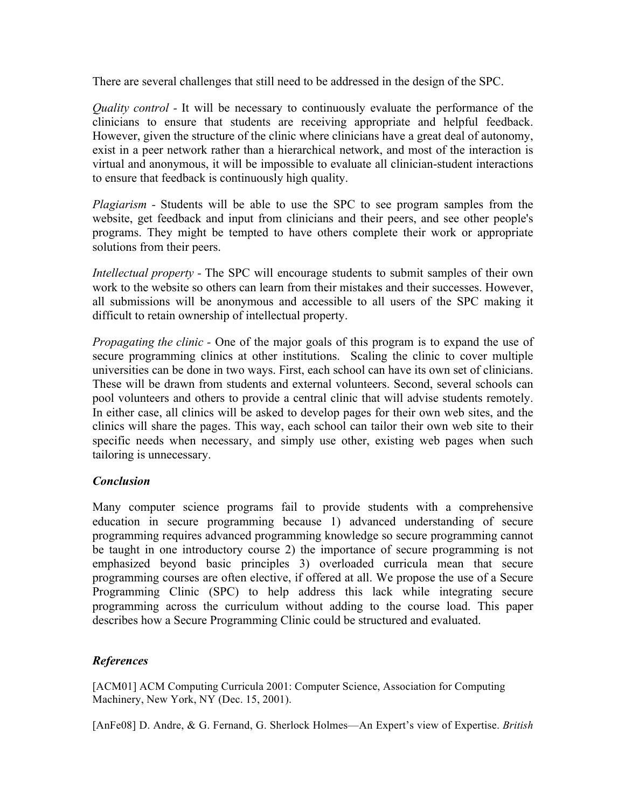There are several challenges that still need to be addressed in the design of the SPC.

*Quality control -* It will be necessary to continuously evaluate the performance of the clinicians to ensure that students are receiving appropriate and helpful feedback. However, given the structure of the clinic where clinicians have a great deal of autonomy, exist in a peer network rather than a hierarchical network, and most of the interaction is virtual and anonymous, it will be impossible to evaluate all clinician-student interactions to ensure that feedback is continuously high quality.

*Plagiarism -* Students will be able to use the SPC to see program samples from the website, get feedback and input from clinicians and their peers, and see other people's programs. They might be tempted to have others complete their work or appropriate solutions from their peers.

*Intellectual property -* The SPC will encourage students to submit samples of their own work to the website so others can learn from their mistakes and their successes. However, all submissions will be anonymous and accessible to all users of the SPC making it difficult to retain ownership of intellectual property.

*Propagating the clinic -* One of the major goals of this program is to expand the use of secure programming clinics at other institutions. Scaling the clinic to cover multiple universities can be done in two ways. First, each school can have its own set of clinicians. These will be drawn from students and external volunteers. Second, several schools can pool volunteers and others to provide a central clinic that will advise students remotely. In either case, all clinics will be asked to develop pages for their own web sites, and the clinics will share the pages. This way, each school can tailor their own web site to their specific needs when necessary, and simply use other, existing web pages when such tailoring is unnecessary.

### *Conclusion*

Many computer science programs fail to provide students with a comprehensive education in secure programming because 1) advanced understanding of secure programming requires advanced programming knowledge so secure programming cannot be taught in one introductory course 2) the importance of secure programming is not emphasized beyond basic principles 3) overloaded curricula mean that secure programming courses are often elective, if offered at all. We propose the use of a Secure Programming Clinic (SPC) to help address this lack while integrating secure programming across the curriculum without adding to the course load. This paper describes how a Secure Programming Clinic could be structured and evaluated.

### *References*

[ACM01] ACM Computing Curricula 2001: Computer Science, Association for Computing Machinery, New York, NY (Dec. 15, 2001).

[AnFe08] D. Andre, & G. Fernand, G. Sherlock Holmes—An Expert's view of Expertise. *British*